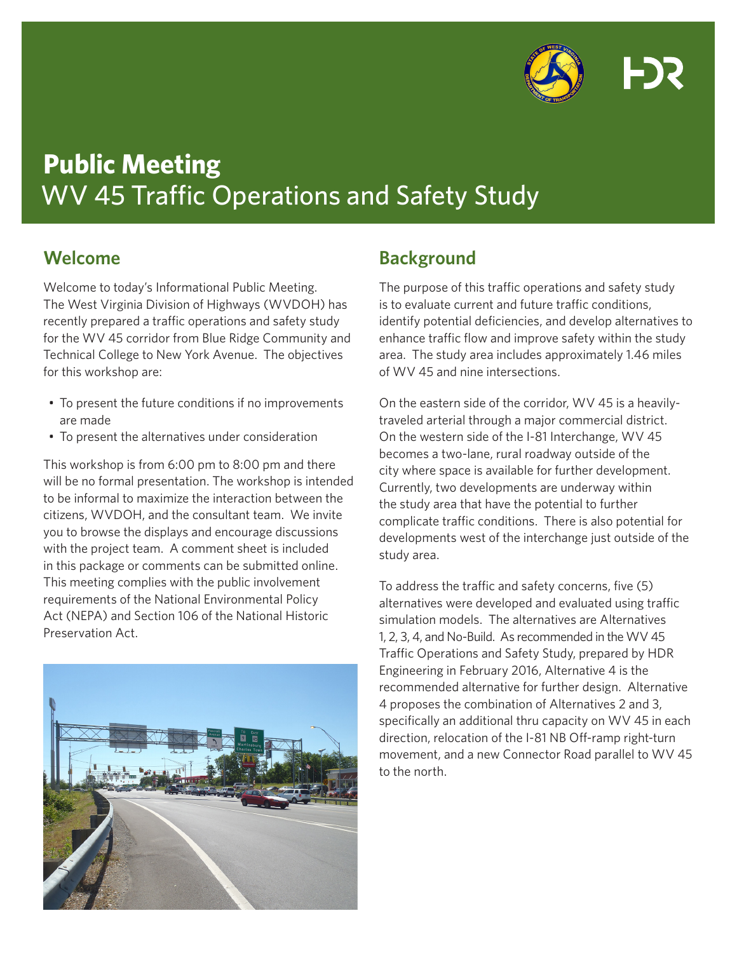

# **Public Meeting** WV 45 Traffic Operations and Safety Study

## **Welcome**

Welcome to today's Informational Public Meeting. The West Virginia Division of Highways (WVDOH) has recently prepared a traffic operations and safety study for the WV 45 corridor from Blue Ridge Community and Technical College to New York Avenue. The objectives for this workshop are:

- To present the future conditions if no improvements are made
- To present the alternatives under consideration

This workshop is from 6:00 pm to 8:00 pm and there will be no formal presentation. The workshop is intended to be informal to maximize the interaction between the citizens, WVDOH, and the consultant team. We invite you to browse the displays and encourage discussions with the project team. A comment sheet is included in this package or comments can be submitted online. This meeting complies with the public involvement requirements of the National Environmental Policy Act (NEPA) and Section 106 of the National Historic Preservation Act.



# **Background**

The purpose of this traffic operations and safety study is to evaluate current and future traffic conditions, identify potential deficiencies, and develop alternatives to enhance traffic flow and improve safety within the study area. The study area includes approximately 1.46 miles of WV 45 and nine intersections.

On the eastern side of the corridor, WV 45 is a heavilytraveled arterial through a major commercial district. On the western side of the I-81 Interchange, WV 45 becomes a two-lane, rural roadway outside of the city where space is available for further development. Currently, two developments are underway within the study area that have the potential to further complicate traffic conditions. There is also potential for developments west of the interchange just outside of the study area.

To address the traffic and safety concerns, five (5) alternatives were developed and evaluated using traffic simulation models. The alternatives are Alternatives 1, 2, 3, 4, and No-Build. As recommended in the WV 45 Traffic Operations and Safety Study, prepared by HDR Engineering in February 2016, Alternative 4 is the recommended alternative for further design. Alternative 4 proposes the combination of Alternatives 2 and 3, specifically an additional thru capacity on WV 45 in each direction, relocation of the I-81 NB Off-ramp right-turn movement, and a new Connector Road parallel to WV 45 to the north.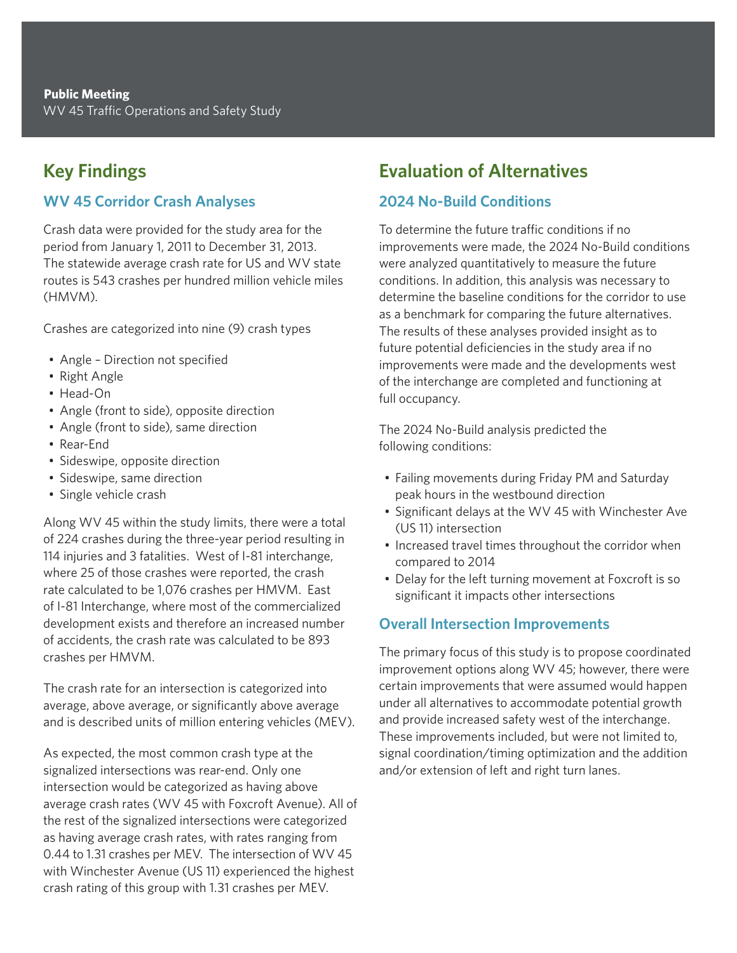# **Key Findings**

## **WV 45 Corridor Crash Analyses**

Crash data were provided for the study area for the period from January 1, 2011 to December 31, 2013. The statewide average crash rate for US and WV state routes is 543 crashes per hundred million vehicle miles (HMVM).

Crashes are categorized into nine (9) crash types

- Angle Direction not specified
- Right Angle
- Head-On
- Angle (front to side), opposite direction
- Angle (front to side), same direction
- Rear-End
- Sideswipe, opposite direction
- Sideswipe, same direction
- Single vehicle crash

Along WV 45 within the study limits, there were a total of 224 crashes during the three-year period resulting in 114 injuries and 3 fatalities. West of I-81 interchange, where 25 of those crashes were reported, the crash rate calculated to be 1,076 crashes per HMVM. East of I-81 Interchange, where most of the commercialized development exists and therefore an increased number of accidents, the crash rate was calculated to be 893 crashes per HMVM.

The crash rate for an intersection is categorized into average, above average, or significantly above average and is described units of million entering vehicles (MEV).

As expected, the most common crash type at the signalized intersections was rear-end. Only one intersection would be categorized as having above average crash rates (WV 45 with Foxcroft Avenue). All of the rest of the signalized intersections were categorized as having average crash rates, with rates ranging from 0.44 to 1.31 crashes per MEV. The intersection of WV 45 with Winchester Avenue (US 11) experienced the highest crash rating of this group with 1.31 crashes per MEV.

## **Evaluation of Alternatives**

#### **2024 No-Build Conditions**

To determine the future traffic conditions if no improvements were made, the 2024 No-Build conditions were analyzed quantitatively to measure the future conditions. In addition, this analysis was necessary to determine the baseline conditions for the corridor to use as a benchmark for comparing the future alternatives. The results of these analyses provided insight as to future potential deficiencies in the study area if no improvements were made and the developments west of the interchange are completed and functioning at full occupancy.

The 2024 No-Build analysis predicted the following conditions:

- Failing movements during Friday PM and Saturday peak hours in the westbound direction
- Significant delays at the WV 45 with Winchester Ave (US 11) intersection
- Increased travel times throughout the corridor when compared to 2014
- Delay for the left turning movement at Foxcroft is so significant it impacts other intersections

#### **Overall Intersection Improvements**

The primary focus of this study is to propose coordinated improvement options along WV 45; however, there were certain improvements that were assumed would happen under all alternatives to accommodate potential growth and provide increased safety west of the interchange. These improvements included, but were not limited to, signal coordination/timing optimization and the addition and/or extension of left and right turn lanes.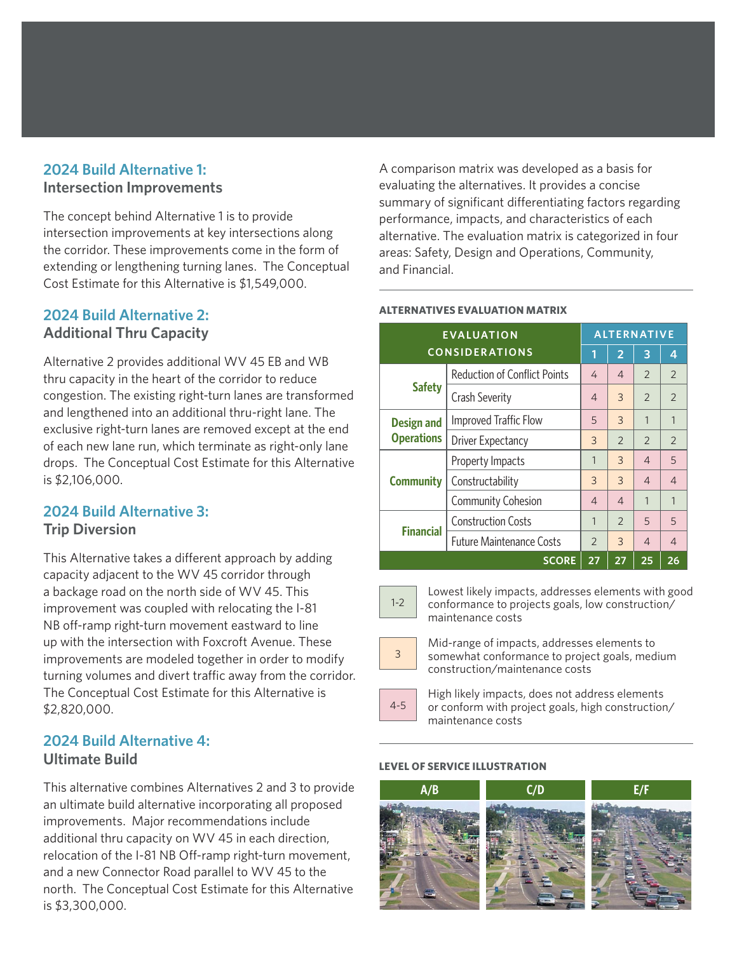#### **2024 Build Alternative 1: Intersection Improvements**

The concept behind Alternative 1 is to provide intersection improvements at key intersections along the corridor. These improvements come in the form of extending or lengthening turning lanes. The Conceptual Cost Estimate for this Alternative is \$1,549,000.

## **2024 Build Alternative 2: Additional Thru Capacity**

Alternative 2 provides additional WV 45 EB and WB thru capacity in the heart of the corridor to reduce congestion. The existing right-turn lanes are transformed and lengthened into an additional thru-right lane. The exclusive right-turn lanes are removed except at the end of each new lane run, which terminate as right-only lane drops. The Conceptual Cost Estimate for this Alternative is \$2,106,000.

#### **2024 Build Alternative 3: Trip Diversion**

This Alternative takes a different approach by adding capacity adjacent to the WV 45 corridor through a backage road on the north side of WV 45. This improvement was coupled with relocating the I-81 NB off-ramp right-turn movement eastward to line up with the intersection with Foxcroft Avenue. These improvements are modeled together in order to modify turning volumes and divert traffic away from the corridor. The Conceptual Cost Estimate for this Alternative is \$2,820,000.

## **2024 Build Alternative 4: Ultimate Build**

This alternative combines Alternatives 2 and 3 to provide an ultimate build alternative incorporating all proposed improvements. Major recommendations include additional thru capacity on WV 45 in each direction, relocation of the I-81 NB Off-ramp right-turn movement, and a new Connector Road parallel to WV 45 to the north. The Conceptual Cost Estimate for this Alternative is \$3,300,000.

A comparison matrix was developed as a basis for evaluating the alternatives. It provides a concise summary of significant differentiating factors regarding performance, impacts, and characteristics of each alternative. The evaluation matrix is categorized in four areas: Safety, Design and Operations, Community, and Financial.

#### **EVALUATION CONSIDERATIONS ALTERNATIVE**  $1$  | 2 | 3 | 4 **Safety** Reduction of Conflict Points  $\begin{array}{|c|c|c|c|c|}\n4 & 4 & 2 & 2\n\end{array}$ Crash Severity  $\begin{array}{|c|c|c|c|c|c|}\n\hline\n4 & 3 & 2 & 2\n\end{array}$ **Design and Operations** Improved Traffic Flow 5 3 1 1 Driver Expectancy 3 2 2 2 **Community** Property Impacts 1 3 4 5 Constructability 3 3 4 4 Community Cohesion 4 4 1 1 **Financial** Construction Costs 1 2 5 5 Future Maintenance Costs 2 3 4 4 **SCORE 27 27 25 26**

#### **ALTERNATIVES EVALUATION MATRIX**



Lowest likely impacts, addresses elements with good conformance to projects goals, low construction/ maintenance costs



Mid-range of impacts, addresses elements to somewhat conformance to project goals, medium construction/maintenance costs



High likely impacts, does not address elements or conform with project goals, high construction/ maintenance costs

#### **LEVEL OF SERVICE ILLUSTRATION**